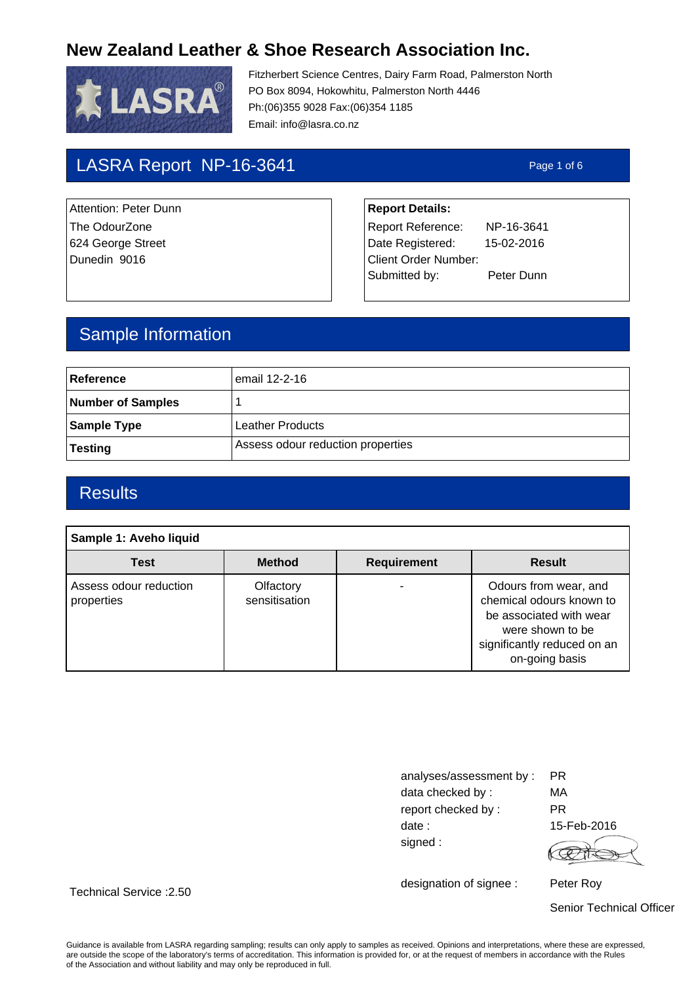

Fitzherbert Science Centres, Dairy Farm Road, Palmerston North PO Box 8094, Hokowhitu, Palmerston North 4446 Ph:(06)355 9028 Fax:(06)354 1185 Email: info@lasra.co.nz

# LASRA Report NP-16-3641 Page 1 of 6

Attention: Peter Dunn **Report Details:** 

The OdourZone **Report Reference:** NP-16-3641 624 George Street **Date Registered:** 15-02-2016 Dunedin 9016 Client Order Number: Submitted by: Peter Dunn

## Sample Information

| Reference         | email 12-2-16                     |
|-------------------|-----------------------------------|
| Number of Samples |                                   |
| Sample Type       | Leather Products                  |
| Testing           | Assess odour reduction properties |

### **Results**

Technical Service :2.50

| Sample 1: Aveho liquid               |                            |                    |                                                                                                                                                   |  |  |
|--------------------------------------|----------------------------|--------------------|---------------------------------------------------------------------------------------------------------------------------------------------------|--|--|
| <b>Test</b>                          | <b>Method</b>              | <b>Requirement</b> | <b>Result</b>                                                                                                                                     |  |  |
| Assess odour reduction<br>properties | Olfactory<br>sensitisation |                    | Odours from wear, and<br>chemical odours known to<br>be associated with wear<br>were shown to be<br>significantly reduced on an<br>on-going basis |  |  |

| analyses/assessment by: | PR.       |
|-------------------------|-----------|
| data checked by:        | МA        |
| report checked by:      | РR        |
| date:                   | $15$ -Feb |
| signed:                 |           |

 $-2016$ 

designation of signee :

Peter Roy

Senior Technical Officer

Guidance is available from LASRA regarding sampling; results can only apply to samples as received. Opinions and interpretations, where these are expressed, are outside the scope of the laboratory's terms of accreditation. This information is provided for, or at the request of members in accordance with the Rules of the Association and without liability and may only be reproduced in full.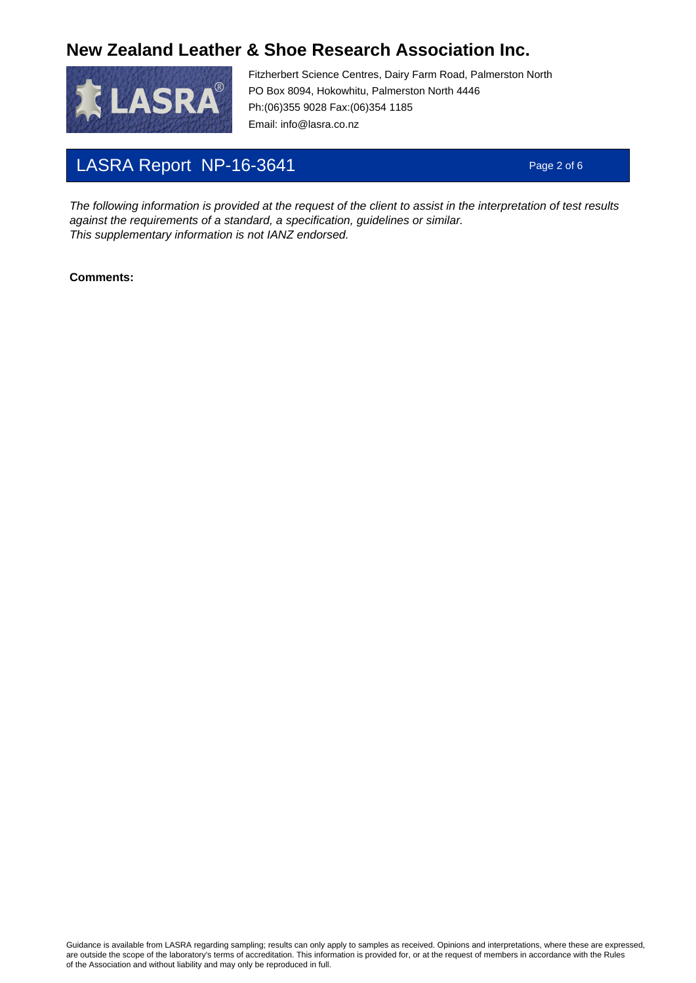

Fitzherbert Science Centres, Dairy Farm Road, Palmerston North PO Box 8094, Hokowhitu, Palmerston North 4446 Ph:(06)355 9028 Fax:(06)354 1185 Email: info@lasra.co.nz

# LASRA Report NP-16-3641 Page 2 of 6

The following information is provided at the request of the client to assist in the interpretation of test results against the requirements of a standard, a specification, guidelines or similar. This supplementary information is not IANZ endorsed.

#### **Comments:**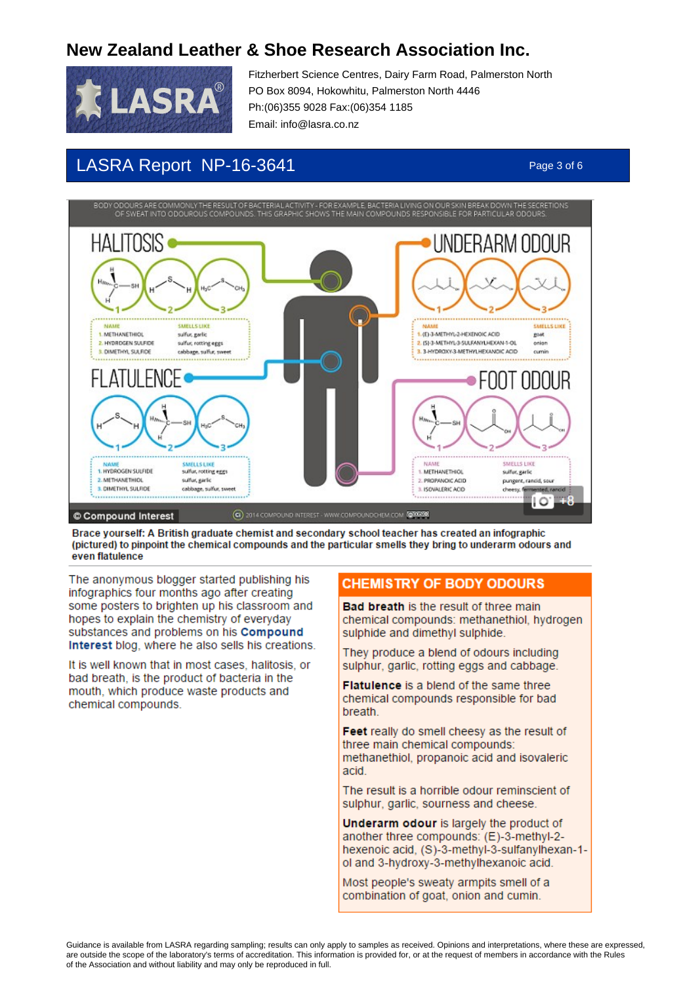

Fitzherbert Science Centres, Dairy Farm Road, Palmerston North PO Box 8094, Hokowhitu, Palmerston North 4446 Ph:(06)355 9028 Fax:(06)354 1185 Email: info@lasra.co.nz

## LASRA Report NP-16-3641 Page 3 of 6

ODOURS ARE COMMONLY TH<br>OF SWEAT INTO ODOUROUS



Brace yourself: A British graduate chemist and secondary school teacher has created an infographic (pictured) to pinpoint the chemical compounds and the particular smells they bring to underarm odours and even flatulence

The anonymous blogger started publishing his infographics four months ago after creating some posters to brighten up his classroom and hopes to explain the chemistry of everyday substances and problems on his Compound Interest blog, where he also sells his creations.

It is well known that in most cases, halitosis, or bad breath, is the product of bacteria in the mouth, which produce waste products and chemical compounds.

### **CHEMISTRY OF BODY ODOURS**

Bad breath is the result of three main chemical compounds: methanethiol, hydrogen sulphide and dimethyl sulphide.

They produce a blend of odours including sulphur, garlic, rotting eggs and cabbage.

**Flatulence** is a blend of the same three chemical compounds responsible for bad breath.

Feet really do smell cheesy as the result of three main chemical compounds: methanethiol, propanoic acid and isovaleric acid

The result is a horrible odour reminscient of sulphur, garlic, sourness and cheese.

Underarm odour is largely the product of another three compounds: (E)-3-methyl-2hexenoic acid, (S)-3-methyl-3-sulfanylhexan-1ol and 3-hydroxy-3-methylhexanoic acid.

Most people's sweaty armpits smell of a combination of goat, onion and cumin.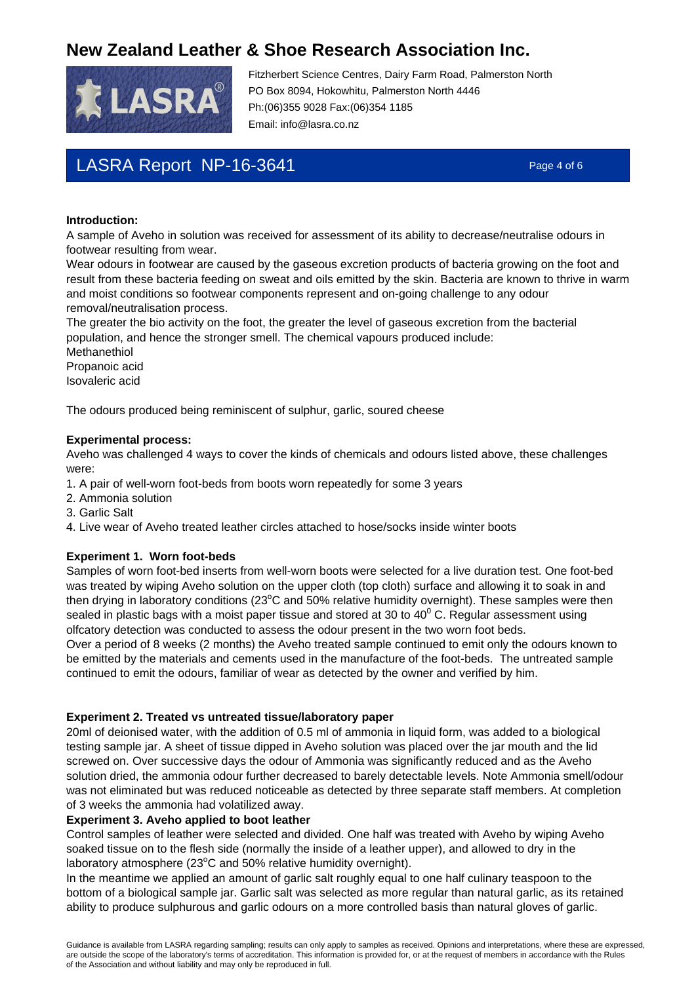

Fitzherbert Science Centres, Dairy Farm Road, Palmerston North PO Box 8094, Hokowhitu, Palmerston North 4446 Ph:(06)355 9028 Fax:(06)354 1185 Email: info@lasra.co.nz

# LASRA Report NP-16-3641 Page 4 of 6

#### **Introduction:**

A sample of Aveho in solution was received for assessment of its ability to decrease/neutralise odours in footwear resulting from wear.

Wear odours in footwear are caused by the gaseous excretion products of bacteria growing on the foot and result from these bacteria feeding on sweat and oils emitted by the skin. Bacteria are known to thrive in warm and moist conditions so footwear components represent and on-going challenge to any odour removal/neutralisation process.

The greater the bio activity on the foot, the greater the level of gaseous excretion from the bacterial population, and hence the stronger smell. The chemical vapours produced include:

Methanethiol Propanoic acid Isovaleric acid

The odours produced being reminiscent of sulphur, garlic, soured cheese

#### **Experimental process:**

Aveho was challenged 4 ways to cover the kinds of chemicals and odours listed above, these challenges were:

- 1. A pair of well-worn foot-beds from boots worn repeatedly for some 3 years
- 2. Ammonia solution
- 3. Garlic Salt
- 4. Live wear of Aveho treated leather circles attached to hose/socks inside winter boots

#### **Experiment 1. Worn foot-beds**

Samples of worn foot-bed inserts from well-worn boots were selected for a live duration test. One foot-bed was treated by wiping Aveho solution on the upper cloth (top cloth) surface and allowing it to soak in and then drying in laboratory conditions (23°C and 50% relative humidity overnight). These samples were then sealed in plastic bags with a moist paper tissue and stored at 30 to 40 $^{\rm 0}$  C. Regular assessment using olfcatory detection was conducted to assess the odour present in the two worn foot beds.

Over a period of 8 weeks (2 months) the Aveho treated sample continued to emit only the odours known to be emitted by the materials and cements used in the manufacture of the foot-beds. The untreated sample continued to emit the odours, familiar of wear as detected by the owner and verified by him.

#### **Experiment 2. Treated vs untreated tissue/laboratory paper**

20ml of deionised water, with the addition of 0.5 ml of ammonia in liquid form, was added to a biological testing sample jar. A sheet of tissue dipped in Aveho solution was placed over the jar mouth and the lid screwed on. Over successive days the odour of Ammonia was significantly reduced and as the Aveho solution dried, the ammonia odour further decreased to barely detectable levels. Note Ammonia smell/odour was not eliminated but was reduced noticeable as detected by three separate staff members. At completion of 3 weeks the ammonia had volatilized away.

#### **Experiment 3. Aveho applied to boot leather**

Control samples of leather were selected and divided. One half was treated with Aveho by wiping Aveho soaked tissue on to the flesh side (normally the inside of a leather upper), and allowed to dry in the laboratory atmosphere (23°C and 50% relative humidity overnight).

In the meantime we applied an amount of garlic salt roughly equal to one half culinary teaspoon to the bottom of a biological sample jar. Garlic salt was selected as more regular than natural garlic, as its retained ability to produce sulphurous and garlic odours on a more controlled basis than natural gloves of garlic.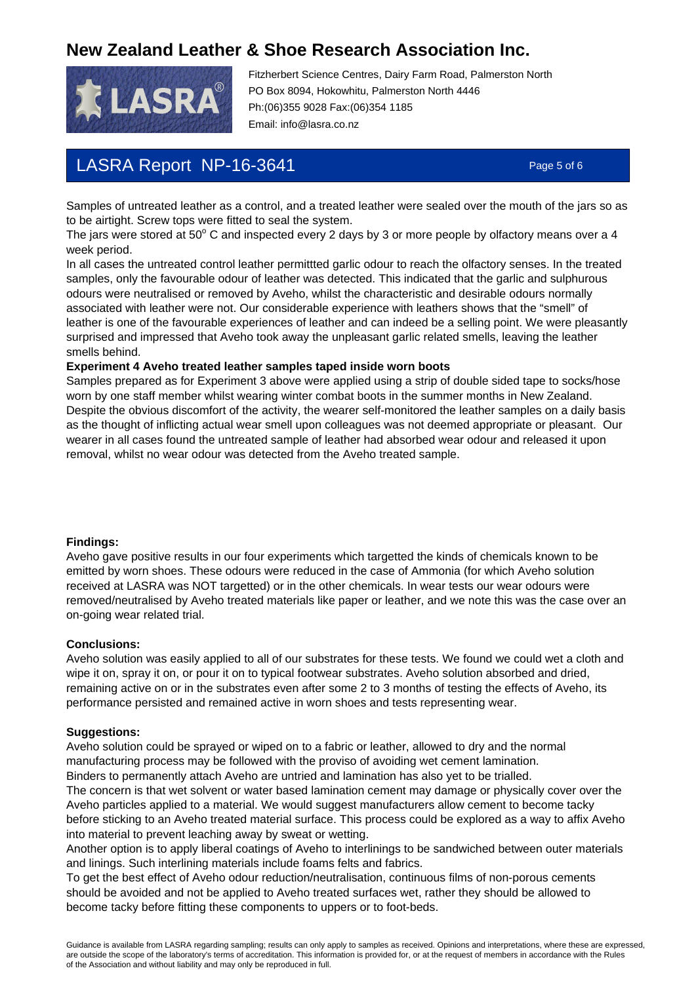

Fitzherbert Science Centres, Dairy Farm Road, Palmerston North PO Box 8094, Hokowhitu, Palmerston North 4446 Ph:(06)355 9028 Fax:(06)354 1185 Email: info@lasra.co.nz

## LASRA Report NP-16-3641 Page 5 of 6

Samples of untreated leather as a control, and a treated leather were sealed over the mouth of the jars so as to be airtight. Screw tops were fitted to seal the system.

The jars were stored at 50 $^{\circ}$  C and inspected every 2 days by 3 or more people by olfactory means over a 4 week period.

In all cases the untreated control leather permittted garlic odour to reach the olfactory senses. In the treated samples, only the favourable odour of leather was detected. This indicated that the garlic and sulphurous odours were neutralised or removed by Aveho, whilst the characteristic and desirable odours normally associated with leather were not. Our considerable experience with leathers shows that the "smell" of leather is one of the favourable experiences of leather and can indeed be a selling point. We were pleasantly surprised and impressed that Aveho took away the unpleasant garlic related smells, leaving the leather smells behind.

### **Experiment 4 Aveho treated leather samples taped inside worn boots**

Samples prepared as for Experiment 3 above were applied using a strip of double sided tape to socks/hose worn by one staff member whilst wearing winter combat boots in the summer months in New Zealand. Despite the obvious discomfort of the activity, the wearer self-monitored the leather samples on a daily basis as the thought of inflicting actual wear smell upon colleagues was not deemed appropriate or pleasant. Our wearer in all cases found the untreated sample of leather had absorbed wear odour and released it upon removal, whilst no wear odour was detected from the Aveho treated sample.

#### **Findings:**

Aveho gave positive results in our four experiments which targetted the kinds of chemicals known to be emitted by worn shoes. These odours were reduced in the case of Ammonia (for which Aveho solution received at LASRA was NOT targetted) or in the other chemicals. In wear tests our wear odours were removed/neutralised by Aveho treated materials like paper or leather, and we note this was the case over an on-going wear related trial.

#### **Conclusions:**

Aveho solution was easily applied to all of our substrates for these tests. We found we could wet a cloth and wipe it on, spray it on, or pour it on to typical footwear substrates. Aveho solution absorbed and dried, remaining active on or in the substrates even after some 2 to 3 months of testing the effects of Aveho, its performance persisted and remained active in worn shoes and tests representing wear.

#### **Suggestions:**

Aveho solution could be sprayed or wiped on to a fabric or leather, allowed to dry and the normal manufacturing process may be followed with the proviso of avoiding wet cement lamination. Binders to permanently attach Aveho are untried and lamination has also yet to be trialled.

The concern is that wet solvent or water based lamination cement may damage or physically cover over the Aveho particles applied to a material. We would suggest manufacturers allow cement to become tacky before sticking to an Aveho treated material surface. This process could be explored as a way to affix Aveho into material to prevent leaching away by sweat or wetting.

Another option is to apply liberal coatings of Aveho to interlinings to be sandwiched between outer materials and linings. Such interlining materials include foams felts and fabrics.

To get the best effect of Aveho odour reduction/neutralisation, continuous films of non-porous cements should be avoided and not be applied to Aveho treated surfaces wet, rather they should be allowed to become tacky before fitting these components to uppers or to foot-beds.